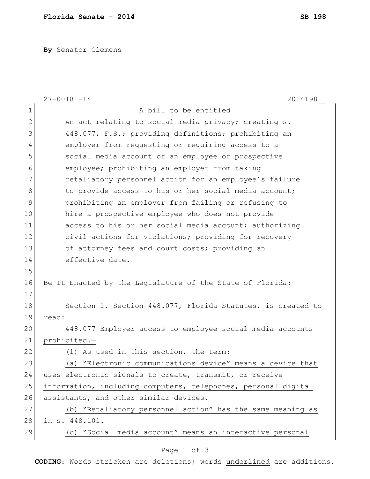**By** Senator Clemens

|    | $27 - 00181 - 14$<br>2014198                                   |
|----|----------------------------------------------------------------|
| 1  | A bill to be entitled                                          |
| 2  | An act relating to social media privacy; creating s.           |
| 3  | 448.077, F.S.; providing definitions; prohibiting an           |
| 4  | employer from requesting or requiring access to a              |
| 5  | social media account of an employee or prospective             |
| 6  | employee; prohibiting an employer from taking                  |
| 7  | retaliatory personnel action for an employee's failure         |
| 8  | to provide access to his or her social media account;          |
| 9  | prohibiting an employer from failing or refusing to            |
| 10 | hire a prospective employee who does not provide               |
| 11 | access to his or her social media account; authorizing         |
| 12 | civil actions for violations; providing for recovery           |
| 13 | of attorney fees and court costs; providing an                 |
| 14 | effective date.                                                |
| 15 |                                                                |
| 16 | Be It Enacted by the Legislature of the State of Florida:      |
| 17 |                                                                |
| 18 | Section 1. Section 448.077, Florida Statutes, is created to    |
| 19 | read:                                                          |
| 20 | 448.077 Employer access to employee social media accounts      |
| 21 | prohibited.-                                                   |
| 22 | (1) As used in this section, the term:                         |
| 23 | (a) "Electronic communications device" means a device that     |
| 24 | uses electronic signals to create, transmit, or receive        |
| 25 | information, including computers, telephones, personal digital |
| 26 | assistants, and other similar devices.                         |
| 27 | (b) "Retaliatory personnel action" has the same meaning as     |
| 28 | in s. 448.101.                                                 |
| 29 | (c) "Social media account" means an interactive personal       |

## Page 1 of 3

**CODING**: Words stricken are deletions; words underlined are additions.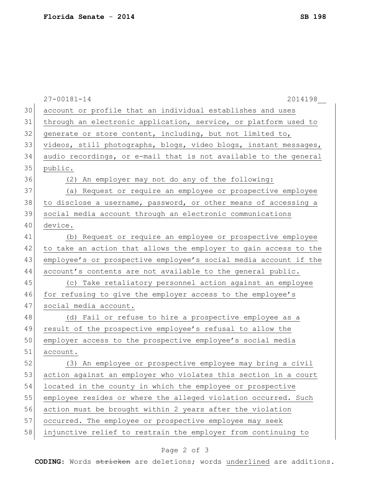| 30<br>account or profile that an individual establishes and uses<br>31<br>through an electronic application, service, or platform used to<br>32<br>generate or store content, including, but not limited to,<br>33<br>videos, still photographs, blogs, video blogs, instant messages,<br>34<br>audio recordings, or e-mail that is not available to the general<br>35<br>public.<br>36<br>(2) An employer may not do any of the following:<br>37<br>(a) Request or require an employee or prospective employee<br>38<br>to disclose a username, password, or other means of accessing a<br>39<br>social media account through an electronic communications<br>40<br>device.<br>41<br>(b) Request or require an employee or prospective employee<br>42<br>to take an action that allows the employer to gain access to the<br>43<br>employee's or prospective employee's social media account if the<br>44<br>account's contents are not available to the general public.<br>45<br>(c) Take retaliatory personnel action against an employee<br>46<br>for refusing to give the employer access to the employee's<br>47<br>social media account.<br>48<br>(d) Fail or refuse to hire a prospective employee as a<br>49<br>result of the prospective employee's refusal to allow the<br>50<br>employer access to the prospective employee's social media<br>51<br>account.<br>52<br>(3) An employee or prospective employee may bring a civil<br>53<br>action against an employer who violates this section in a court<br>54<br>located in the county in which the employee or prospective<br>55<br>employee resides or where the alleged violation occurred. Such<br>56<br>action must be brought within 2 years after the violation<br>57<br>occurred. The employee or prospective employee may seek<br>58<br>injunctive relief to restrain the employer from continuing to | $27 - 00181 - 14$<br>2014198 |
|-----------------------------------------------------------------------------------------------------------------------------------------------------------------------------------------------------------------------------------------------------------------------------------------------------------------------------------------------------------------------------------------------------------------------------------------------------------------------------------------------------------------------------------------------------------------------------------------------------------------------------------------------------------------------------------------------------------------------------------------------------------------------------------------------------------------------------------------------------------------------------------------------------------------------------------------------------------------------------------------------------------------------------------------------------------------------------------------------------------------------------------------------------------------------------------------------------------------------------------------------------------------------------------------------------------------------------------------------------------------------------------------------------------------------------------------------------------------------------------------------------------------------------------------------------------------------------------------------------------------------------------------------------------------------------------------------------------------------------------------------------------------------------------------------------------------------------------------------------------------------------|------------------------------|
|                                                                                                                                                                                                                                                                                                                                                                                                                                                                                                                                                                                                                                                                                                                                                                                                                                                                                                                                                                                                                                                                                                                                                                                                                                                                                                                                                                                                                                                                                                                                                                                                                                                                                                                                                                                                                                                                             |                              |
|                                                                                                                                                                                                                                                                                                                                                                                                                                                                                                                                                                                                                                                                                                                                                                                                                                                                                                                                                                                                                                                                                                                                                                                                                                                                                                                                                                                                                                                                                                                                                                                                                                                                                                                                                                                                                                                                             |                              |
|                                                                                                                                                                                                                                                                                                                                                                                                                                                                                                                                                                                                                                                                                                                                                                                                                                                                                                                                                                                                                                                                                                                                                                                                                                                                                                                                                                                                                                                                                                                                                                                                                                                                                                                                                                                                                                                                             |                              |
|                                                                                                                                                                                                                                                                                                                                                                                                                                                                                                                                                                                                                                                                                                                                                                                                                                                                                                                                                                                                                                                                                                                                                                                                                                                                                                                                                                                                                                                                                                                                                                                                                                                                                                                                                                                                                                                                             |                              |
|                                                                                                                                                                                                                                                                                                                                                                                                                                                                                                                                                                                                                                                                                                                                                                                                                                                                                                                                                                                                                                                                                                                                                                                                                                                                                                                                                                                                                                                                                                                                                                                                                                                                                                                                                                                                                                                                             |                              |
|                                                                                                                                                                                                                                                                                                                                                                                                                                                                                                                                                                                                                                                                                                                                                                                                                                                                                                                                                                                                                                                                                                                                                                                                                                                                                                                                                                                                                                                                                                                                                                                                                                                                                                                                                                                                                                                                             |                              |
|                                                                                                                                                                                                                                                                                                                                                                                                                                                                                                                                                                                                                                                                                                                                                                                                                                                                                                                                                                                                                                                                                                                                                                                                                                                                                                                                                                                                                                                                                                                                                                                                                                                                                                                                                                                                                                                                             |                              |
|                                                                                                                                                                                                                                                                                                                                                                                                                                                                                                                                                                                                                                                                                                                                                                                                                                                                                                                                                                                                                                                                                                                                                                                                                                                                                                                                                                                                                                                                                                                                                                                                                                                                                                                                                                                                                                                                             |                              |
|                                                                                                                                                                                                                                                                                                                                                                                                                                                                                                                                                                                                                                                                                                                                                                                                                                                                                                                                                                                                                                                                                                                                                                                                                                                                                                                                                                                                                                                                                                                                                                                                                                                                                                                                                                                                                                                                             |                              |
|                                                                                                                                                                                                                                                                                                                                                                                                                                                                                                                                                                                                                                                                                                                                                                                                                                                                                                                                                                                                                                                                                                                                                                                                                                                                                                                                                                                                                                                                                                                                                                                                                                                                                                                                                                                                                                                                             |                              |
|                                                                                                                                                                                                                                                                                                                                                                                                                                                                                                                                                                                                                                                                                                                                                                                                                                                                                                                                                                                                                                                                                                                                                                                                                                                                                                                                                                                                                                                                                                                                                                                                                                                                                                                                                                                                                                                                             |                              |
|                                                                                                                                                                                                                                                                                                                                                                                                                                                                                                                                                                                                                                                                                                                                                                                                                                                                                                                                                                                                                                                                                                                                                                                                                                                                                                                                                                                                                                                                                                                                                                                                                                                                                                                                                                                                                                                                             |                              |
|                                                                                                                                                                                                                                                                                                                                                                                                                                                                                                                                                                                                                                                                                                                                                                                                                                                                                                                                                                                                                                                                                                                                                                                                                                                                                                                                                                                                                                                                                                                                                                                                                                                                                                                                                                                                                                                                             |                              |
|                                                                                                                                                                                                                                                                                                                                                                                                                                                                                                                                                                                                                                                                                                                                                                                                                                                                                                                                                                                                                                                                                                                                                                                                                                                                                                                                                                                                                                                                                                                                                                                                                                                                                                                                                                                                                                                                             |                              |
|                                                                                                                                                                                                                                                                                                                                                                                                                                                                                                                                                                                                                                                                                                                                                                                                                                                                                                                                                                                                                                                                                                                                                                                                                                                                                                                                                                                                                                                                                                                                                                                                                                                                                                                                                                                                                                                                             |                              |
|                                                                                                                                                                                                                                                                                                                                                                                                                                                                                                                                                                                                                                                                                                                                                                                                                                                                                                                                                                                                                                                                                                                                                                                                                                                                                                                                                                                                                                                                                                                                                                                                                                                                                                                                                                                                                                                                             |                              |
|                                                                                                                                                                                                                                                                                                                                                                                                                                                                                                                                                                                                                                                                                                                                                                                                                                                                                                                                                                                                                                                                                                                                                                                                                                                                                                                                                                                                                                                                                                                                                                                                                                                                                                                                                                                                                                                                             |                              |
|                                                                                                                                                                                                                                                                                                                                                                                                                                                                                                                                                                                                                                                                                                                                                                                                                                                                                                                                                                                                                                                                                                                                                                                                                                                                                                                                                                                                                                                                                                                                                                                                                                                                                                                                                                                                                                                                             |                              |
|                                                                                                                                                                                                                                                                                                                                                                                                                                                                                                                                                                                                                                                                                                                                                                                                                                                                                                                                                                                                                                                                                                                                                                                                                                                                                                                                                                                                                                                                                                                                                                                                                                                                                                                                                                                                                                                                             |                              |
|                                                                                                                                                                                                                                                                                                                                                                                                                                                                                                                                                                                                                                                                                                                                                                                                                                                                                                                                                                                                                                                                                                                                                                                                                                                                                                                                                                                                                                                                                                                                                                                                                                                                                                                                                                                                                                                                             |                              |
|                                                                                                                                                                                                                                                                                                                                                                                                                                                                                                                                                                                                                                                                                                                                                                                                                                                                                                                                                                                                                                                                                                                                                                                                                                                                                                                                                                                                                                                                                                                                                                                                                                                                                                                                                                                                                                                                             |                              |
|                                                                                                                                                                                                                                                                                                                                                                                                                                                                                                                                                                                                                                                                                                                                                                                                                                                                                                                                                                                                                                                                                                                                                                                                                                                                                                                                                                                                                                                                                                                                                                                                                                                                                                                                                                                                                                                                             |                              |
|                                                                                                                                                                                                                                                                                                                                                                                                                                                                                                                                                                                                                                                                                                                                                                                                                                                                                                                                                                                                                                                                                                                                                                                                                                                                                                                                                                                                                                                                                                                                                                                                                                                                                                                                                                                                                                                                             |                              |
|                                                                                                                                                                                                                                                                                                                                                                                                                                                                                                                                                                                                                                                                                                                                                                                                                                                                                                                                                                                                                                                                                                                                                                                                                                                                                                                                                                                                                                                                                                                                                                                                                                                                                                                                                                                                                                                                             |                              |
|                                                                                                                                                                                                                                                                                                                                                                                                                                                                                                                                                                                                                                                                                                                                                                                                                                                                                                                                                                                                                                                                                                                                                                                                                                                                                                                                                                                                                                                                                                                                                                                                                                                                                                                                                                                                                                                                             |                              |
|                                                                                                                                                                                                                                                                                                                                                                                                                                                                                                                                                                                                                                                                                                                                                                                                                                                                                                                                                                                                                                                                                                                                                                                                                                                                                                                                                                                                                                                                                                                                                                                                                                                                                                                                                                                                                                                                             |                              |
|                                                                                                                                                                                                                                                                                                                                                                                                                                                                                                                                                                                                                                                                                                                                                                                                                                                                                                                                                                                                                                                                                                                                                                                                                                                                                                                                                                                                                                                                                                                                                                                                                                                                                                                                                                                                                                                                             |                              |
|                                                                                                                                                                                                                                                                                                                                                                                                                                                                                                                                                                                                                                                                                                                                                                                                                                                                                                                                                                                                                                                                                                                                                                                                                                                                                                                                                                                                                                                                                                                                                                                                                                                                                                                                                                                                                                                                             |                              |
|                                                                                                                                                                                                                                                                                                                                                                                                                                                                                                                                                                                                                                                                                                                                                                                                                                                                                                                                                                                                                                                                                                                                                                                                                                                                                                                                                                                                                                                                                                                                                                                                                                                                                                                                                                                                                                                                             |                              |

## Page 2 of 3

**CODING**: Words stricken are deletions; words underlined are additions.